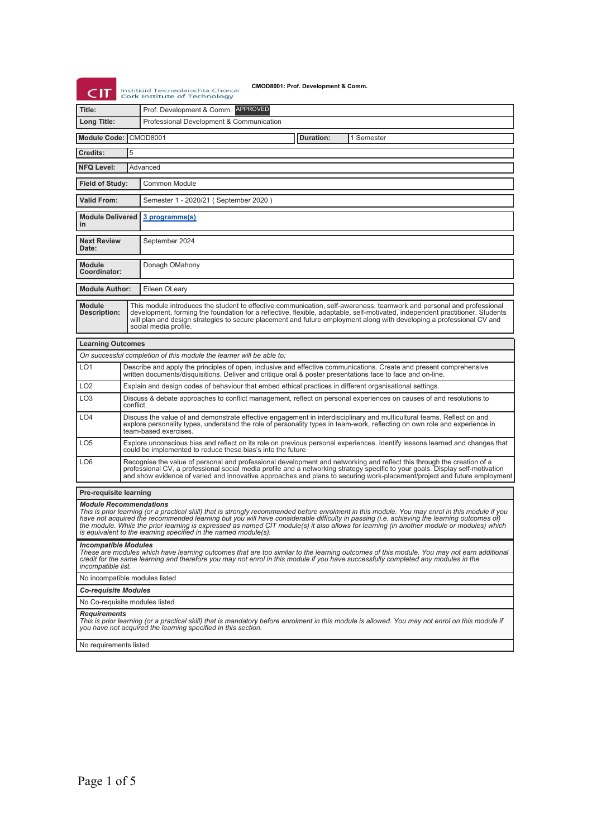| CIT                                                                                                                                                                                                                                                                                                                                                                                                                                                                                                                                           |                                                                                                                                                                                                                                                                                                                                                                                                          | CMOD8001: Prof. Development & Comm.<br>Institiúid Teicneolaíochta Chorcaí<br><b>Cork Institute of Technology</b> |  |  |  |  |
|-----------------------------------------------------------------------------------------------------------------------------------------------------------------------------------------------------------------------------------------------------------------------------------------------------------------------------------------------------------------------------------------------------------------------------------------------------------------------------------------------------------------------------------------------|----------------------------------------------------------------------------------------------------------------------------------------------------------------------------------------------------------------------------------------------------------------------------------------------------------------------------------------------------------------------------------------------------------|------------------------------------------------------------------------------------------------------------------|--|--|--|--|
| Title:                                                                                                                                                                                                                                                                                                                                                                                                                                                                                                                                        |                                                                                                                                                                                                                                                                                                                                                                                                          | Prof. Development & Comm. APPROVED                                                                               |  |  |  |  |
| Long Title:                                                                                                                                                                                                                                                                                                                                                                                                                                                                                                                                   |                                                                                                                                                                                                                                                                                                                                                                                                          | Professional Development & Communication                                                                         |  |  |  |  |
| <b>Module Code:</b>                                                                                                                                                                                                                                                                                                                                                                                                                                                                                                                           |                                                                                                                                                                                                                                                                                                                                                                                                          | <b>CMOD8001</b><br>Duration:<br>1 Semester                                                                       |  |  |  |  |
| Credits:                                                                                                                                                                                                                                                                                                                                                                                                                                                                                                                                      | 5                                                                                                                                                                                                                                                                                                                                                                                                        |                                                                                                                  |  |  |  |  |
| <b>NFQ Level:</b>                                                                                                                                                                                                                                                                                                                                                                                                                                                                                                                             |                                                                                                                                                                                                                                                                                                                                                                                                          | Advanced                                                                                                         |  |  |  |  |
| Field of Study:<br><b>Common Module</b>                                                                                                                                                                                                                                                                                                                                                                                                                                                                                                       |                                                                                                                                                                                                                                                                                                                                                                                                          |                                                                                                                  |  |  |  |  |
| <b>Valid From:</b>                                                                                                                                                                                                                                                                                                                                                                                                                                                                                                                            |                                                                                                                                                                                                                                                                                                                                                                                                          | Semester 1 - 2020/21 (September 2020)                                                                            |  |  |  |  |
| <b>Module Delivered</b><br>3 programme(s)<br>in                                                                                                                                                                                                                                                                                                                                                                                                                                                                                               |                                                                                                                                                                                                                                                                                                                                                                                                          |                                                                                                                  |  |  |  |  |
| <b>Next Review</b><br>Date:                                                                                                                                                                                                                                                                                                                                                                                                                                                                                                                   |                                                                                                                                                                                                                                                                                                                                                                                                          | September 2024                                                                                                   |  |  |  |  |
| <b>Module</b><br>Coordinator:                                                                                                                                                                                                                                                                                                                                                                                                                                                                                                                 |                                                                                                                                                                                                                                                                                                                                                                                                          | Donagh OMahony                                                                                                   |  |  |  |  |
| <b>Module Author:</b>                                                                                                                                                                                                                                                                                                                                                                                                                                                                                                                         |                                                                                                                                                                                                                                                                                                                                                                                                          | Eileen OLeary                                                                                                    |  |  |  |  |
| <b>Module</b><br>Description:                                                                                                                                                                                                                                                                                                                                                                                                                                                                                                                 | This module introduces the student to effective communication, self-awareness, teamwork and personal and professional<br>development, forming the foundation for a reflective, flexible, adaptable, self-motivated, independent practitioner. Students<br>will plan and design strategies to secure placement and future employment along with developing a professional CV and<br>social media profile. |                                                                                                                  |  |  |  |  |
| <b>Learning Outcomes</b>                                                                                                                                                                                                                                                                                                                                                                                                                                                                                                                      |                                                                                                                                                                                                                                                                                                                                                                                                          |                                                                                                                  |  |  |  |  |
|                                                                                                                                                                                                                                                                                                                                                                                                                                                                                                                                               |                                                                                                                                                                                                                                                                                                                                                                                                          | On successful completion of this module the learner will be able to:                                             |  |  |  |  |
| LO <sub>1</sub>                                                                                                                                                                                                                                                                                                                                                                                                                                                                                                                               | Describe and apply the principles of open, inclusive and effective communications. Create and present comprehensive<br>written documents/disquisitions. Deliver and critique oral & poster presentations face to face and on-line.                                                                                                                                                                       |                                                                                                                  |  |  |  |  |
| LO <sub>2</sub>                                                                                                                                                                                                                                                                                                                                                                                                                                                                                                                               |                                                                                                                                                                                                                                                                                                                                                                                                          | Explain and design codes of behaviour that embed ethical practices in different organisational settings.         |  |  |  |  |
| LO <sub>3</sub>                                                                                                                                                                                                                                                                                                                                                                                                                                                                                                                               | Discuss & debate approaches to conflict management, reflect on personal experiences on causes of and resolutions to<br>conflict.                                                                                                                                                                                                                                                                         |                                                                                                                  |  |  |  |  |
| LO4                                                                                                                                                                                                                                                                                                                                                                                                                                                                                                                                           | Discuss the value of and demonstrate effective engagement in interdisciplinary and multicultural teams. Reflect on and<br>explore personality types, understand the role of personality types in team-work, reflecting on own role and experience in<br>team-based exercises.                                                                                                                            |                                                                                                                  |  |  |  |  |
| LO <sub>5</sub>                                                                                                                                                                                                                                                                                                                                                                                                                                                                                                                               | Explore unconscious bias and reflect on its role on previous personal experiences. Identify lessons learned and changes that<br>could be implemented to reduce these bias's into the future                                                                                                                                                                                                              |                                                                                                                  |  |  |  |  |
| LO <sub>6</sub>                                                                                                                                                                                                                                                                                                                                                                                                                                                                                                                               | Recognise the value of personal and professional development and networking and reflect this through the creation of a<br>professional CV, a professional social media profile and a networking strategy specific to your goals. Display self-motivation<br>and show evidence of varied and innovative approaches and plans to securing work-placement/project and future employment                     |                                                                                                                  |  |  |  |  |
| <b>Pre-requisite learning</b>                                                                                                                                                                                                                                                                                                                                                                                                                                                                                                                 |                                                                                                                                                                                                                                                                                                                                                                                                          |                                                                                                                  |  |  |  |  |
| <b>Module Recommendations</b><br>This is prior learning (or a practical skill) that is strongly recommended before enrolment in this module. You may enrol in this module if you<br>have not acquired the recommended learning but you will have considerable difficulty in passing (i.e. achieving the learning outcomes of)<br>the module. While the prior learning is expressed as named CIT module(s) it also allows for learning (in another module or modules) which<br>is equivalent to the learning specified in the named module(s). |                                                                                                                                                                                                                                                                                                                                                                                                          |                                                                                                                  |  |  |  |  |
| <b>Incompatible Modules</b><br>These are modules which have learning outcomes that are too similar to the learning outcomes of this module. You may not earn additional<br>credit for the same learning and therefore you may not enrol in this module if you have successfully completed any modules in the<br>incompatible list.                                                                                                                                                                                                            |                                                                                                                                                                                                                                                                                                                                                                                                          |                                                                                                                  |  |  |  |  |
| No incompatible modules listed                                                                                                                                                                                                                                                                                                                                                                                                                                                                                                                |                                                                                                                                                                                                                                                                                                                                                                                                          |                                                                                                                  |  |  |  |  |
| <b>Co-requisite Modules</b>                                                                                                                                                                                                                                                                                                                                                                                                                                                                                                                   |                                                                                                                                                                                                                                                                                                                                                                                                          |                                                                                                                  |  |  |  |  |
|                                                                                                                                                                                                                                                                                                                                                                                                                                                                                                                                               | No Co-requisite modules listed                                                                                                                                                                                                                                                                                                                                                                           |                                                                                                                  |  |  |  |  |
| <b>Requirements</b><br>This is prior learning (or a practical skill) that is mandatory before enrolment in this module is allowed. You may not enrol on this module if<br>you have not acquired the learning specified in this section.                                                                                                                                                                                                                                                                                                       |                                                                                                                                                                                                                                                                                                                                                                                                          |                                                                                                                  |  |  |  |  |
| No requirements listed                                                                                                                                                                                                                                                                                                                                                                                                                                                                                                                        |                                                                                                                                                                                                                                                                                                                                                                                                          |                                                                                                                  |  |  |  |  |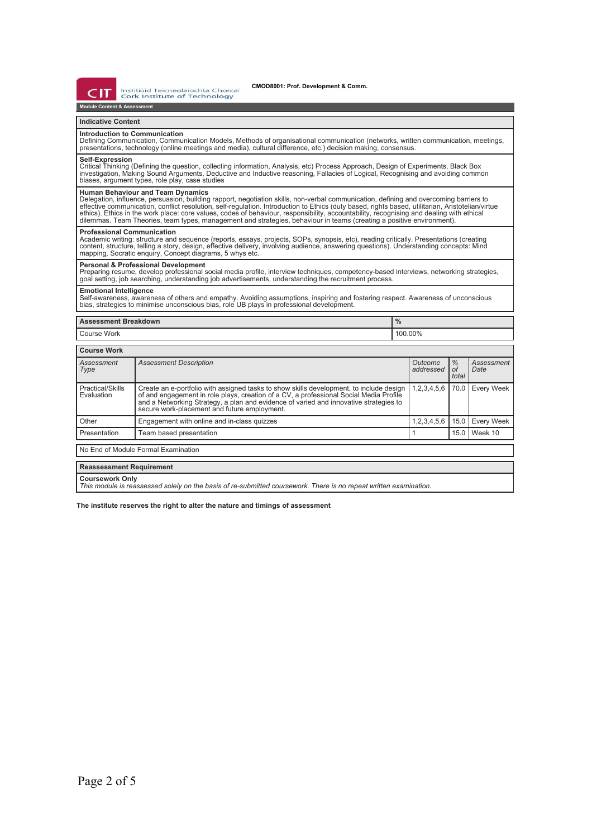דו־  $\epsilon$ 

Institiúid Teicneolaíochta Chorcaí<br>Cork Institute of Technology

**Module Content & Assess** 

### **Indicative Content**

### **Introduction to Communication**

Defining Communication, Communication Models, Methods of organisational communication (networks, written communication, meetings,<br>presentations, technology (online meetings and media), cultural difference, etc.) decision m

# **Self-Expression**

Critical Thinking (Defining the question, collecting information, Analysis, etc) Process Approach, Design of Experiments, Black Box<br>investigation, Making Sound Arguments, Deductive and Inductive reasoning, Fallacies of Log

**Human Behaviour and Team Dynamics**<br>Delegation, influence, persuasion, building rapport, negotiation skills, non-verbal communication, defining and overcoming barriers to<br>effective communication, conflict resolution, selfethics). Ethics in the work place: core values, codes of behaviour, responsibility, accountability, recognising and dealing with ethical<br>dilemmas. Team Theories, team types, management and strategies, behaviour in teams (c

## **Professional Communication**

Academic writing: structure and sequence (reports, essays, projects, SOPs, synopsis, etc), reading critically. Presentations (creating<br>content, structure, telling a story, design, effective delivery, involving audience, an

## **Personal & Professional Development**

Preparing resume, develop professional social media profile, interview techniques, competency-based interviews, networking strategies,<br>goal setting, job searching, understanding job advertisements, understanding the recrui

**Emotional Intelligence**<br>Self-awareness, awareness of others and empathy. Avoiding assumptions, inspiring and fostering respect. Awareness of unconscious<br>bias, strategies to minimise unconscious bias, role UB plays in prof

| <b>Assessment Breakdown</b>    |                                                                                                                                                                                                    | $\frac{0}{0}$ |                      |                              |                    |
|--------------------------------|----------------------------------------------------------------------------------------------------------------------------------------------------------------------------------------------------|---------------|----------------------|------------------------------|--------------------|
| Course Work                    |                                                                                                                                                                                                    | 100.00%       |                      |                              |                    |
|                                |                                                                                                                                                                                                    |               |                      |                              |                    |
| <b>Course Work</b>             |                                                                                                                                                                                                    |               |                      |                              |                    |
| Assessment<br>Type             | <b>Assessment Description</b>                                                                                                                                                                      |               | Outcome<br>addressed | $\frac{0}{2}$<br>оf<br>total | Assessment<br>Date |
| Practical/Skills<br>Evaluation | Create an e-portfolio with assigned tasks to show skills development, to include design 1.2,3,4,5,6 70.0<br>of and engagement in role plays, creation of a CV, a professional Social Media Profile |               |                      |                              | <b>Every Week</b>  |

|                                     | and a Networking Strategy, a plan and evidence of varied and innovative strategies to<br>secure work-placement and future employment. |  |  |                                 |  |  |
|-------------------------------------|---------------------------------------------------------------------------------------------------------------------------------------|--|--|---------------------------------|--|--|
| Other                               | Engagement with online and in-class guizzes                                                                                           |  |  | 1,2,3,4,5,6   15.0   Every Week |  |  |
| Presentation                        | Team based presentation                                                                                                               |  |  | 15.0 Week 10                    |  |  |
| No End of Module Formal Examination |                                                                                                                                       |  |  |                                 |  |  |
| <b>Reassessment Requirement</b>     |                                                                                                                                       |  |  |                                 |  |  |
|                                     |                                                                                                                                       |  |  |                                 |  |  |

**Coursework Only** *This module is reassessed solely on the basis of re-submitted coursework. There is no repeat written examination.*

**The institute reserves the right to alter the nature and timings of assessment**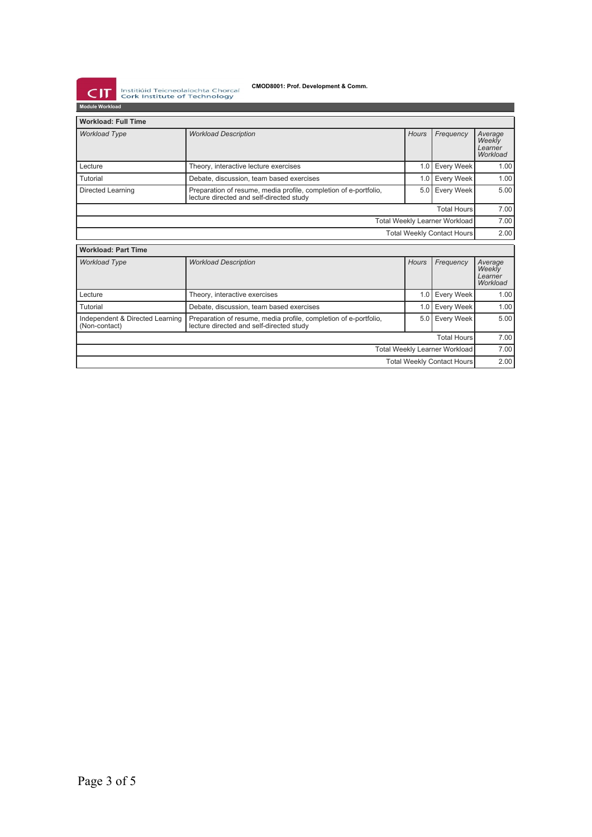**CMOD8001: Prof. Development & Comm.** 

**CIT** Instituïd Teicneolaíochta Chorcaí

| COIN INSTITUTE OF TECHNOLOGY<br><b>Module Workload</b> |                                                                                                              |                    |                   |                                          |  |
|--------------------------------------------------------|--------------------------------------------------------------------------------------------------------------|--------------------|-------------------|------------------------------------------|--|
| <b>Workload: Full Time</b>                             |                                                                                                              |                    |                   |                                          |  |
| <b>Workload Type</b>                                   | <b>Workload Description</b>                                                                                  | <b>Hours</b>       | Frequency         | Average<br>Weekly<br>Learner<br>Workload |  |
| Lecture                                                | Theory, interactive lecture exercises                                                                        | 1.0                | <b>Every Week</b> | 1.00                                     |  |
| Tutorial                                               | Debate, discussion, team based exercises                                                                     | 1.0                | <b>Every Week</b> | 1.00                                     |  |
| Directed Learning                                      | Preparation of resume, media profile, completion of e-portfolio,<br>lecture directed and self-directed study | 5.0                | <b>Every Week</b> | 5.00                                     |  |
|                                                        |                                                                                                              | <b>Total Hours</b> |                   |                                          |  |
| <b>Total Weekly Learner Workload</b>                   |                                                                                                              |                    |                   |                                          |  |
| <b>Total Weekly Contact Hours</b>                      |                                                                                                              |                    |                   |                                          |  |
| <b>Workload: Part Time</b>                             |                                                                                                              |                    |                   |                                          |  |
| <b>Workload Type</b>                                   | <b>Workload Description</b>                                                                                  | <b>Hours</b>       | Frequency         | Average<br>Weekly<br>Learner<br>Workload |  |
| Lecture                                                | Theory, interactive exercises                                                                                | 1.0                | Every Week        | 1.00                                     |  |
| Tutorial                                               | Debate, discussion, team based exercises                                                                     | 1.0                | <b>Every Week</b> | 1.00                                     |  |
| Independent & Directed Learning<br>(Non-contact)       | Preparation of resume, media profile, completion of e-portfolio,<br>lecture directed and self-directed study | 5.0                | Every Week        | 5.00                                     |  |
| <b>Total Hours</b>                                     |                                                                                                              |                    |                   | 7.00                                     |  |
| <b>Total Weekly Learner Workload</b>                   |                                                                                                              |                    |                   | 7.00                                     |  |
| <b>Total Weekly Contact Hours</b>                      |                                                                                                              |                    |                   | 2.00                                     |  |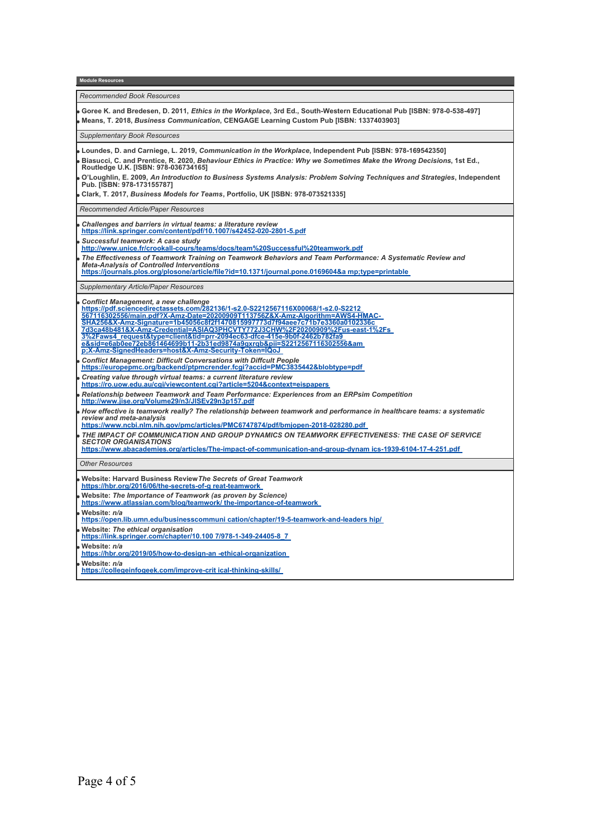**Module Reso** *Recommended Book Resources* **Goree K. and Bredesen, D. 2011,** *Ethics in the Workplace***, 3rd Ed., South-Western Educational Pub [ISBN: 978-0-538-497] Means, T. 2018,** *Business Communication***, CENGAGE Learning Custom Pub [ISBN: 1337403903]** *Supplementary Book Resources* **Loundes, D. and Carniege, L. 2019,** *Communication in the Workplace***, Independent Pub [ISBN: 978-169542350] Biasucci, C. and Prentice, R. 2020,** *Behaviour Ethics in Practice: Why we Sometimes Make the Wrong Decisions***, 1st Ed., Routledge U.K. [ISBN: 978-036734165] O'Loughlin, E. 2009,** *An Introduction to Business Systems Analysis: Problem Solving Techniques and Strategies***, Independent Pub. [ISBN: 978-173155787] Clark, T. 2017,** *Business Models for Teams***, Portfolio, UK [ISBN: 978-073521335]** *Recommended Article/Paper Resources Challenges and barriers in virtual teams: a literature review* **<https://link.springer.com/content/pdf/10.1007/s42452-020-2801-5.pdf>** *Successful teamwork: A case study* **<http://www.unice.fr/crookall-cours/teams/docs/team%20Successful%20teamwork.pdf>** *The Effectiveness of Teamwork Training on Teamwork Behaviors and Team Performance: A Systematic Review and Meta-Analysis of Controlled Interventions* **[https://journals.plos.org/plosone/article/file?id=10.1371/journal.pone.0169604&a mp;type=printable](https://journals.plos.org/plosone/article/file?id=10.1371/journal.pone.0169604&type=printable)**  *Supplementary Article/Paper Resources Conflict Management, a new challenge* <u>[https://pdf.sciencedirectassets.com/282136/1-s2.0-S2212567116X00068/1-s2.0-S2212](https://pdf.sciencedirectassets.com/282136/1-s2.0-S2212567116X00068/1-s2.0-S2212567116302556/main.pdf?X-Amz-Date=20200909T113756Z&X-Amz-Algorithm=AWS4-HMAC-SHA256&X-Amz-Signature=1b45056c8f2f1470815997773d7f94aee7c71b7e3360a0102336c7d3ca48b481&X-Amz-Credential=ASIAQ3PHCVTY772J3CHW%2F20200909%2Fus-east-1%2Fs3%2Faws4_request&type=client&tid=prr-2094ec63-dfce-415e-9b0f-2462b782fa9e&sid=e6ab0ee72eb861464699b11-2b31ed9874a9gxrqb&pii=S2212567116302556&X-Amz-SignedHeaders=host&X-Amz-Security-Token=IQoJ)<br>567116302556/main.pdf?X-Amz-Date=2020090911137562&X-Amz-Algorithm=AWS4-HMAC-<br>SHA256&X-Amz-Signature=1b45056c8f2f1470815997773d7f94aee7c71b7e</u> **[p;X-Amz-SignedHeaders=host&X-Amz-Security-Token=IQoJ](https://pdf.sciencedirectassets.com/282136/1-s2.0-S2212567116X00068/1-s2.0-S2212567116302556/main.pdf?X-Amz-Date=20200909T113756Z&X-Amz-Algorithm=AWS4-HMAC-SHA256&X-Amz-Signature=1b45056c8f2f1470815997773d7f94aee7c71b7e3360a0102336c7d3ca48b481&X-Amz-Credential=ASIAQ3PHCVTY772J3CHW%2F20200909%2Fus-east-1%2Fs3%2Faws4_request&type=client&tid=prr-2094ec63-dfce-415e-9b0f-2462b782fa9e&sid=e6ab0ee72eb861464699b11-2b31ed9874a9gxrqb&pii=S2212567116302556&X-Amz-SignedHeaders=host&X-Amz-Security-Token=IQoJ)**  *Conflict Management: Difficult Conversations with Diffcult People* **<https://europepmc.org/backend/ptpmcrender.fcgi?accid=PMC3835442&blobtype=pdf>** *Creating value through virtual teams: a current literature review* **<https://ro.uow.edu.au/cgi/viewcontent.cgi?article=5204&context=eispapers>** *Relationship between Teamwork and Team Performance: Experiences from an ERPsim Competition* **<http://www.jise.org/Volume29/n3/JISEv29n3p157.pdf>** *How effective is teamwork really? The relationship between teamwork and performance in healthcare teams: a systematic review and meta-analysis* **<https://www.ncbi.nlm.nih.gov/pmc/articles/PMC6747874/pdf/bmjopen-2018-028280.pdf>** *THE IMPACT OF COMMUNICATION AND GROUP DYNAMICS ON TEAMWORK EFFECTIVENESS: THE CASE OF SERVICE SECTOR ORGANISATIONS* **[https://www.abacademies.org/articles/The-impact-of-communication-and-group-dynam ics-1939-6104-17-4-251.pdf](https://www.abacademies.org/articles/The-impact-of-communication-and-group-dynamics-1939-6104-17-4-251.pdf)**  *Other Resources* **Website: Harvard Business Review***The Secrets of Great Teamwork* **[https://hbr.org/2016/06/the-secrets-of-g reat-teamwork](https://hbr.org/2016/06/the-secrets-of-great-teamwork)  Website:** *The Importance of Teamwork (as proven by Science)*  **[https://www.atlassian.com/blog/teamwork/ the-importance-of-teamwork](https://www.atlassian.com/blog/teamwork/the-importance-of-teamwork)  Website:** *n/a* **[https://open.lib.umn.edu/businesscommuni cation/chapter/19-5-teamwork-and-leaders hip/](https://open.lib.umn.edu/businesscommunication/chapter/19-5-teamwork-and-leadership/)  Website:** *The ethical organisation* **[https://link.springer.com/chapter/10.100 7/978-1-349-24405-8\\_7](https://link.springer.com/chapter/10.1007/978-1-349-24405-8_7)  Website:** *n/a* **[https://hbr.org/2019/05/how-to-design-an -ethical-organization](https://hbr.org/2019/05/how-to-design-an-ethical-organization)  Website:** *n/a* **[https://collegeinfogeek.com/improve-crit ical-thinking-skills/](https://collegeinfogeek.com/improve-critical-thinking-skills/)**